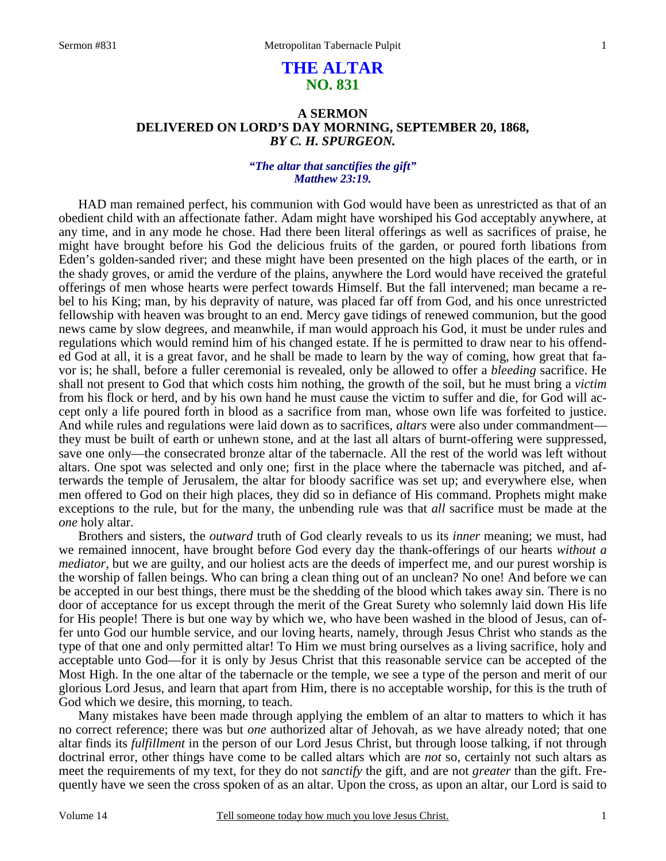# **THE ALTAR NO. 831**

## **A SERMON DELIVERED ON LORD'S DAY MORNING, SEPTEMBER 20, 1868,**  *BY C. H. SPURGEON.*

### *"The altar that sanctifies the gift" Matthew 23:19.*

HAD man remained perfect, his communion with God would have been as unrestricted as that of an obedient child with an affectionate father. Adam might have worshiped his God acceptably anywhere, at any time, and in any mode he chose. Had there been literal offerings as well as sacrifices of praise, he might have brought before his God the delicious fruits of the garden, or poured forth libations from Eden's golden-sanded river; and these might have been presented on the high places of the earth, or in the shady groves, or amid the verdure of the plains, anywhere the Lord would have received the grateful offerings of men whose hearts were perfect towards Himself. But the fall intervened; man became a rebel to his King; man, by his depravity of nature, was placed far off from God, and his once unrestricted fellowship with heaven was brought to an end. Mercy gave tidings of renewed communion, but the good news came by slow degrees, and meanwhile, if man would approach his God, it must be under rules and regulations which would remind him of his changed estate. If he is permitted to draw near to his offended God at all, it is a great favor, and he shall be made to learn by the way of coming, how great that favor is; he shall, before a fuller ceremonial is revealed, only be allowed to offer a *bleeding* sacrifice. He shall not present to God that which costs him nothing, the growth of the soil, but he must bring a *victim* from his flock or herd, and by his own hand he must cause the victim to suffer and die, for God will accept only a life poured forth in blood as a sacrifice from man, whose own life was forfeited to justice. And while rules and regulations were laid down as to sacrifices, *altars* were also under commandment they must be built of earth or unhewn stone, and at the last all altars of burnt-offering were suppressed, save one only—the consecrated bronze altar of the tabernacle. All the rest of the world was left without altars. One spot was selected and only one; first in the place where the tabernacle was pitched, and afterwards the temple of Jerusalem, the altar for bloody sacrifice was set up; and everywhere else, when men offered to God on their high places, they did so in defiance of His command. Prophets might make exceptions to the rule, but for the many, the unbending rule was that *all* sacrifice must be made at the *one* holy altar.

 Brothers and sisters, the *outward* truth of God clearly reveals to us its *inner* meaning; we must, had we remained innocent, have brought before God every day the thank-offerings of our hearts *without a mediator*, but we are guilty, and our holiest acts are the deeds of imperfect me, and our purest worship is the worship of fallen beings. Who can bring a clean thing out of an unclean? No one! And before we can be accepted in our best things, there must be the shedding of the blood which takes away sin. There is no door of acceptance for us except through the merit of the Great Surety who solemnly laid down His life for His people! There is but one way by which we, who have been washed in the blood of Jesus, can offer unto God our humble service, and our loving hearts, namely, through Jesus Christ who stands as the type of that one and only permitted altar! To Him we must bring ourselves as a living sacrifice, holy and acceptable unto God—for it is only by Jesus Christ that this reasonable service can be accepted of the Most High. In the one altar of the tabernacle or the temple, we see a type of the person and merit of our glorious Lord Jesus, and learn that apart from Him, there is no acceptable worship, for this is the truth of God which we desire, this morning, to teach.

 Many mistakes have been made through applying the emblem of an altar to matters to which it has no correct reference; there was but *one* authorized altar of Jehovah, as we have already noted; that one altar finds its *fulfillment* in the person of our Lord Jesus Christ, but through loose talking, if not through doctrinal error, other things have come to be called altars which are *not* so, certainly not such altars as meet the requirements of my text, for they do not *sanctify* the gift, and are not *greater* than the gift. Frequently have we seen the cross spoken of as an altar. Upon the cross, as upon an altar, our Lord is said to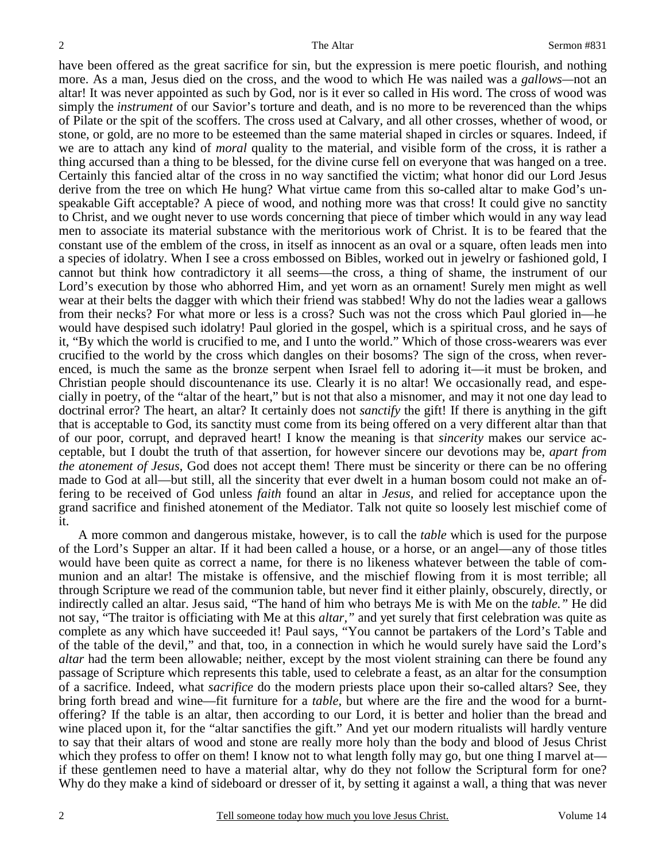have been offered as the great sacrifice for sin, but the expression is mere poetic flourish, and nothing more. As a man, Jesus died on the cross, and the wood to which He was nailed was a *gallows—*not an altar! It was never appointed as such by God, nor is it ever so called in His word. The cross of wood was simply the *instrument* of our Savior's torture and death, and is no more to be reverenced than the whips of Pilate or the spit of the scoffers. The cross used at Calvary, and all other crosses, whether of wood, or stone, or gold, are no more to be esteemed than the same material shaped in circles or squares. Indeed, if we are to attach any kind of *moral* quality to the material, and visible form of the cross, it is rather a thing accursed than a thing to be blessed, for the divine curse fell on everyone that was hanged on a tree. Certainly this fancied altar of the cross in no way sanctified the victim; what honor did our Lord Jesus derive from the tree on which He hung? What virtue came from this so-called altar to make God's unspeakable Gift acceptable? A piece of wood, and nothing more was that cross! It could give no sanctity to Christ, and we ought never to use words concerning that piece of timber which would in any way lead men to associate its material substance with the meritorious work of Christ. It is to be feared that the constant use of the emblem of the cross, in itself as innocent as an oval or a square, often leads men into a species of idolatry. When I see a cross embossed on Bibles, worked out in jewelry or fashioned gold, I cannot but think how contradictory it all seems—the cross, a thing of shame, the instrument of our Lord's execution by those who abhorred Him, and yet worn as an ornament! Surely men might as well wear at their belts the dagger with which their friend was stabbed! Why do not the ladies wear a gallows from their necks? For what more or less is a cross? Such was not the cross which Paul gloried in—he would have despised such idolatry! Paul gloried in the gospel, which is a spiritual cross, and he says of it, "By which the world is crucified to me, and I unto the world." Which of those cross-wearers was ever crucified to the world by the cross which dangles on their bosoms? The sign of the cross, when reverenced, is much the same as the bronze serpent when Israel fell to adoring it—it must be broken, and Christian people should discountenance its use. Clearly it is no altar! We occasionally read, and especially in poetry, of the "altar of the heart," but is not that also a misnomer, and may it not one day lead to doctrinal error? The heart, an altar? It certainly does not *sanctify* the gift! If there is anything in the gift that is acceptable to God, its sanctity must come from its being offered on a very different altar than that of our poor, corrupt, and depraved heart! I know the meaning is that *sincerity* makes our service acceptable, but I doubt the truth of that assertion, for however sincere our devotions may be, *apart from the atonement of Jesus*, God does not accept them! There must be sincerity or there can be no offering made to God at all—but still, all the sincerity that ever dwelt in a human bosom could not make an offering to be received of God unless *faith* found an altar in *Jesus,* and relied for acceptance upon the grand sacrifice and finished atonement of the Mediator. Talk not quite so loosely lest mischief come of it.

 A more common and dangerous mistake, however, is to call the *table* which is used for the purpose of the Lord's Supper an altar. If it had been called a house, or a horse, or an angel—any of those titles would have been quite as correct a name, for there is no likeness whatever between the table of communion and an altar! The mistake is offensive, and the mischief flowing from it is most terrible; all through Scripture we read of the communion table, but never find it either plainly, obscurely, directly, or indirectly called an altar. Jesus said, "The hand of him who betrays Me is with Me on the *table."* He did not say, "The traitor is officiating with Me at this *altar,"* and yet surely that first celebration was quite as complete as any which have succeeded it! Paul says, "You cannot be partakers of the Lord's Table and of the table of the devil," and that, too, in a connection in which he would surely have said the Lord's *altar* had the term been allowable; neither, except by the most violent straining can there be found any passage of Scripture which represents this table, used to celebrate a feast, as an altar for the consumption of a sacrifice. Indeed, what *sacrifice* do the modern priests place upon their so-called altars? See, they bring forth bread and wine—fit furniture for a *table,* but where are the fire and the wood for a burntoffering? If the table is an altar, then according to our Lord, it is better and holier than the bread and wine placed upon it, for the "altar sanctifies the gift." And yet our modern ritualists will hardly venture to say that their altars of wood and stone are really more holy than the body and blood of Jesus Christ which they profess to offer on them! I know not to what length folly may go, but one thing I marvel at if these gentlemen need to have a material altar, why do they not follow the Scriptural form for one? Why do they make a kind of sideboard or dresser of it, by setting it against a wall, a thing that was never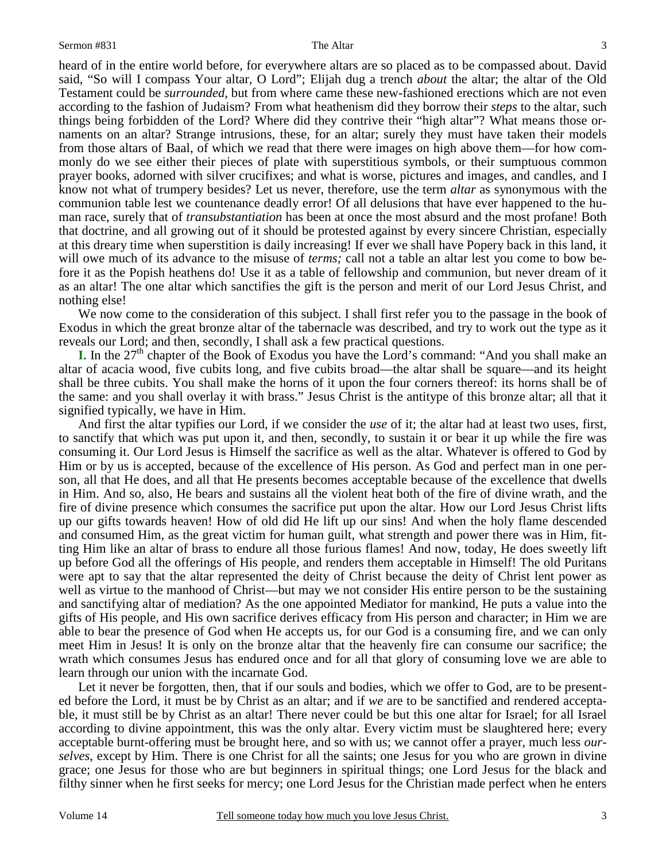3

heard of in the entire world before, for everywhere altars are so placed as to be compassed about. David said, "So will I compass Your altar, O Lord"; Elijah dug a trench *about* the altar; the altar of the Old Testament could be *surrounded,* but from where came these new-fashioned erections which are not even according to the fashion of Judaism? From what heathenism did they borrow their *steps* to the altar, such things being forbidden of the Lord? Where did they contrive their "high altar"? What means those ornaments on an altar? Strange intrusions, these, for an altar; surely they must have taken their models from those altars of Baal, of which we read that there were images on high above them—for how commonly do we see either their pieces of plate with superstitious symbols, or their sumptuous common prayer books, adorned with silver crucifixes; and what is worse, pictures and images, and candles, and I know not what of trumpery besides? Let us never, therefore, use the term *altar* as synonymous with the communion table lest we countenance deadly error! Of all delusions that have ever happened to the human race, surely that of *transubstantiation* has been at once the most absurd and the most profane! Both that doctrine, and all growing out of it should be protested against by every sincere Christian, especially at this dreary time when superstition is daily increasing! If ever we shall have Popery back in this land, it will owe much of its advance to the misuse of *terms;* call not a table an altar lest you come to bow before it as the Popish heathens do! Use it as a table of fellowship and communion, but never dream of it as an altar! The one altar which sanctifies the gift is the person and merit of our Lord Jesus Christ, and nothing else!

 We now come to the consideration of this subject. I shall first refer you to the passage in the book of Exodus in which the great bronze altar of the tabernacle was described, and try to work out the type as it reveals our Lord; and then, secondly, I shall ask a few practical questions.

**I.** In the  $27<sup>th</sup>$  chapter of the Book of Exodus you have the Lord's command: "And you shall make an altar of acacia wood, five cubits long, and five cubits broad—the altar shall be square—and its height shall be three cubits. You shall make the horns of it upon the four corners thereof: its horns shall be of the same: and you shall overlay it with brass." Jesus Christ is the antitype of this bronze altar; all that it signified typically, we have in Him.

 And first the altar typifies our Lord, if we consider the *use* of it; the altar had at least two uses, first, to sanctify that which was put upon it, and then, secondly, to sustain it or bear it up while the fire was consuming it. Our Lord Jesus is Himself the sacrifice as well as the altar. Whatever is offered to God by Him or by us is accepted, because of the excellence of His person. As God and perfect man in one person, all that He does, and all that He presents becomes acceptable because of the excellence that dwells in Him. And so, also, He bears and sustains all the violent heat both of the fire of divine wrath, and the fire of divine presence which consumes the sacrifice put upon the altar. How our Lord Jesus Christ lifts up our gifts towards heaven! How of old did He lift up our sins! And when the holy flame descended and consumed Him, as the great victim for human guilt, what strength and power there was in Him, fitting Him like an altar of brass to endure all those furious flames! And now, today, He does sweetly lift up before God all the offerings of His people, and renders them acceptable in Himself! The old Puritans were apt to say that the altar represented the deity of Christ because the deity of Christ lent power as well as virtue to the manhood of Christ—but may we not consider His entire person to be the sustaining and sanctifying altar of mediation? As the one appointed Mediator for mankind, He puts a value into the gifts of His people, and His own sacrifice derives efficacy from His person and character; in Him we are able to bear the presence of God when He accepts us, for our God is a consuming fire, and we can only meet Him in Jesus! It is only on the bronze altar that the heavenly fire can consume our sacrifice; the wrath which consumes Jesus has endured once and for all that glory of consuming love we are able to learn through our union with the incarnate God.

 Let it never be forgotten, then, that if our souls and bodies, which we offer to God, are to be presented before the Lord, it must be by Christ as an altar; and if *we* are to be sanctified and rendered acceptable, it must still be by Christ as an altar! There never could be but this one altar for Israel; for all Israel according to divine appointment, this was the only altar. Every victim must be slaughtered here; every acceptable burnt-offering must be brought here, and so with us; we cannot offer a prayer, much less *ourselves*, except by Him. There is one Christ for all the saints; one Jesus for you who are grown in divine grace; one Jesus for those who are but beginners in spiritual things; one Lord Jesus for the black and filthy sinner when he first seeks for mercy; one Lord Jesus for the Christian made perfect when he enters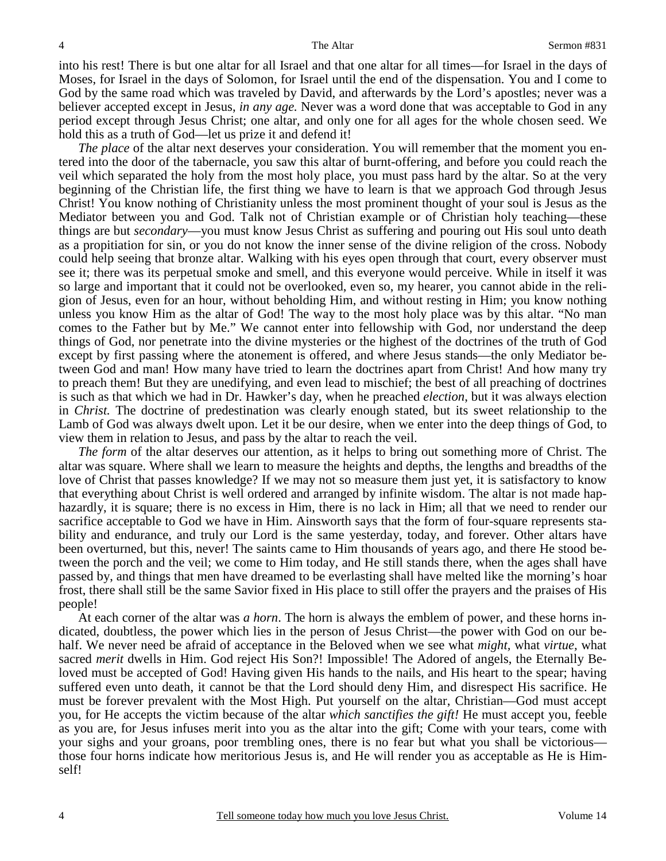into his rest! There is but one altar for all Israel and that one altar for all times—for Israel in the days of Moses, for Israel in the days of Solomon, for Israel until the end of the dispensation. You and I come to God by the same road which was traveled by David, and afterwards by the Lord's apostles; never was a believer accepted except in Jesus, *in any age.* Never was a word done that was acceptable to God in any period except through Jesus Christ; one altar, and only one for all ages for the whole chosen seed. We hold this as a truth of God—let us prize it and defend it!

*The place* of the altar next deserves your consideration. You will remember that the moment you entered into the door of the tabernacle, you saw this altar of burnt-offering, and before you could reach the veil which separated the holy from the most holy place, you must pass hard by the altar. So at the very beginning of the Christian life, the first thing we have to learn is that we approach God through Jesus Christ! You know nothing of Christianity unless the most prominent thought of your soul is Jesus as the Mediator between you and God. Talk not of Christian example or of Christian holy teaching—these things are but *secondary*—you must know Jesus Christ as suffering and pouring out His soul unto death as a propitiation for sin, or you do not know the inner sense of the divine religion of the cross. Nobody could help seeing that bronze altar. Walking with his eyes open through that court, every observer must see it; there was its perpetual smoke and smell, and this everyone would perceive. While in itself it was so large and important that it could not be overlooked, even so, my hearer, you cannot abide in the religion of Jesus, even for an hour, without beholding Him, and without resting in Him; you know nothing unless you know Him as the altar of God! The way to the most holy place was by this altar. "No man comes to the Father but by Me." We cannot enter into fellowship with God, nor understand the deep things of God, nor penetrate into the divine mysteries or the highest of the doctrines of the truth of God except by first passing where the atonement is offered, and where Jesus stands—the only Mediator between God and man! How many have tried to learn the doctrines apart from Christ! And how many try to preach them! But they are unedifying, and even lead to mischief; the best of all preaching of doctrines is such as that which we had in Dr. Hawker's day, when he preached *election*, but it was always election in *Christ.* The doctrine of predestination was clearly enough stated, but its sweet relationship to the Lamb of God was always dwelt upon. Let it be our desire, when we enter into the deep things of God, to view them in relation to Jesus, and pass by the altar to reach the veil.

*The form* of the altar deserves our attention, as it helps to bring out something more of Christ. The altar was square. Where shall we learn to measure the heights and depths, the lengths and breadths of the love of Christ that passes knowledge? If we may not so measure them just yet, it is satisfactory to know that everything about Christ is well ordered and arranged by infinite wisdom. The altar is not made haphazardly, it is square; there is no excess in Him, there is no lack in Him; all that we need to render our sacrifice acceptable to God we have in Him. Ainsworth says that the form of four-square represents stability and endurance, and truly our Lord is the same yesterday, today, and forever. Other altars have been overturned, but this, never! The saints came to Him thousands of years ago, and there He stood between the porch and the veil; we come to Him today, and He still stands there, when the ages shall have passed by, and things that men have dreamed to be everlasting shall have melted like the morning's hoar frost, there shall still be the same Savior fixed in His place to still offer the prayers and the praises of His people!

 At each corner of the altar was *a horn*. The horn is always the emblem of power, and these horns indicated, doubtless, the power which lies in the person of Jesus Christ—the power with God on our behalf. We never need be afraid of acceptance in the Beloved when we see what *might,* what *virtue,* what sacred *merit* dwells in Him. God reject His Son?! Impossible! The Adored of angels, the Eternally Beloved must be accepted of God! Having given His hands to the nails, and His heart to the spear; having suffered even unto death, it cannot be that the Lord should deny Him, and disrespect His sacrifice. He must be forever prevalent with the Most High. Put yourself on the altar, Christian—God must accept you, for He accepts the victim because of the altar *which sanctifies the gift!* He must accept you, feeble as you are, for Jesus infuses merit into you as the altar into the gift; Come with your tears, come with your sighs and your groans, poor trembling ones, there is no fear but what you shall be victorious those four horns indicate how meritorious Jesus is, and He will render you as acceptable as He is Himself!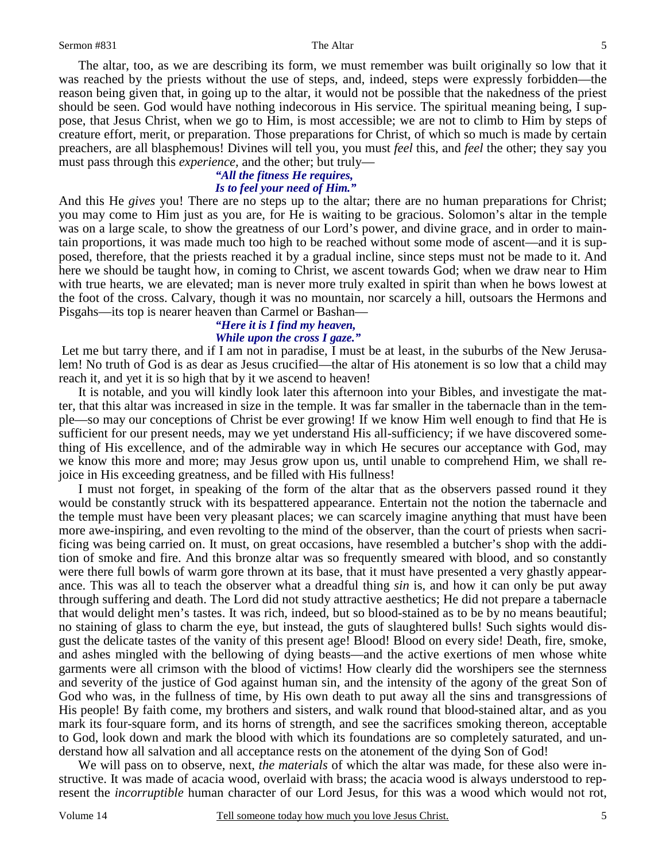Sermon #831 The Altar

 The altar, too, as we are describing its form, we must remember was built originally so low that it was reached by the priests without the use of steps, and, indeed, steps were expressly forbidden—the reason being given that, in going up to the altar, it would not be possible that the nakedness of the priest should be seen. God would have nothing indecorous in His service. The spiritual meaning being, I suppose, that Jesus Christ, when we go to Him, is most accessible; we are not to climb to Him by steps of creature effort, merit, or preparation. Those preparations for Christ, of which so much is made by certain preachers, are all blasphemous! Divines will tell you, you must *feel* this, and *feel* the other; they say you must pass through this *experience,* and the other; but truly—

### *"All the fitness He requires, Is to feel your need of Him."*

And this He *gives* you! There are no steps up to the altar; there are no human preparations for Christ; you may come to Him just as you are, for He is waiting to be gracious. Solomon's altar in the temple was on a large scale, to show the greatness of our Lord's power, and divine grace, and in order to maintain proportions, it was made much too high to be reached without some mode of ascent—and it is supposed, therefore, that the priests reached it by a gradual incline, since steps must not be made to it. And here we should be taught how, in coming to Christ, we ascent towards God; when we draw near to Him with true hearts, we are elevated; man is never more truly exalted in spirit than when he bows lowest at the foot of the cross. Calvary, though it was no mountain, nor scarcely a hill, outsoars the Hermons and Pisgahs—its top is nearer heaven than Carmel or Bashan—

#### *"Here it is I find my heaven, While upon the cross I gaze."*

Let me but tarry there, and if I am not in paradise, I must be at least, in the suburbs of the New Jerusalem! No truth of God is as dear as Jesus crucified—the altar of His atonement is so low that a child may reach it, and yet it is so high that by it we ascend to heaven!

 It is notable, and you will kindly look later this afternoon into your Bibles, and investigate the matter, that this altar was increased in size in the temple. It was far smaller in the tabernacle than in the temple—so may our conceptions of Christ be ever growing! If we know Him well enough to find that He is sufficient for our present needs, may we yet understand His all-sufficiency; if we have discovered something of His excellence, and of the admirable way in which He secures our acceptance with God, may we know this more and more; may Jesus grow upon us, until unable to comprehend Him, we shall rejoice in His exceeding greatness, and be filled with His fullness!

 I must not forget, in speaking of the form of the altar that as the observers passed round it they would be constantly struck with its bespattered appearance. Entertain not the notion the tabernacle and the temple must have been very pleasant places; we can scarcely imagine anything that must have been more awe-inspiring, and even revolting to the mind of the observer, than the court of priests when sacrificing was being carried on. It must, on great occasions, have resembled a butcher's shop with the addition of smoke and fire. And this bronze altar was so frequently smeared with blood, and so constantly were there full bowls of warm gore thrown at its base, that it must have presented a very ghastly appearance. This was all to teach the observer what a dreadful thing *sin* is, and how it can only be put away through suffering and death. The Lord did not study attractive aesthetics; He did not prepare a tabernacle that would delight men's tastes. It was rich, indeed, but so blood-stained as to be by no means beautiful; no staining of glass to charm the eye, but instead, the guts of slaughtered bulls! Such sights would disgust the delicate tastes of the vanity of this present age! Blood! Blood on every side! Death, fire, smoke, and ashes mingled with the bellowing of dying beasts—and the active exertions of men whose white garments were all crimson with the blood of victims! How clearly did the worshipers see the sternness and severity of the justice of God against human sin, and the intensity of the agony of the great Son of God who was, in the fullness of time, by His own death to put away all the sins and transgressions of His people! By faith come, my brothers and sisters, and walk round that blood-stained altar, and as you mark its four-square form, and its horns of strength, and see the sacrifices smoking thereon, acceptable to God, look down and mark the blood with which its foundations are so completely saturated, and understand how all salvation and all acceptance rests on the atonement of the dying Son of God!

 We will pass on to observe, next, *the materials* of which the altar was made, for these also were instructive. It was made of acacia wood, overlaid with brass; the acacia wood is always understood to represent the *incorruptible* human character of our Lord Jesus, for this was a wood which would not rot,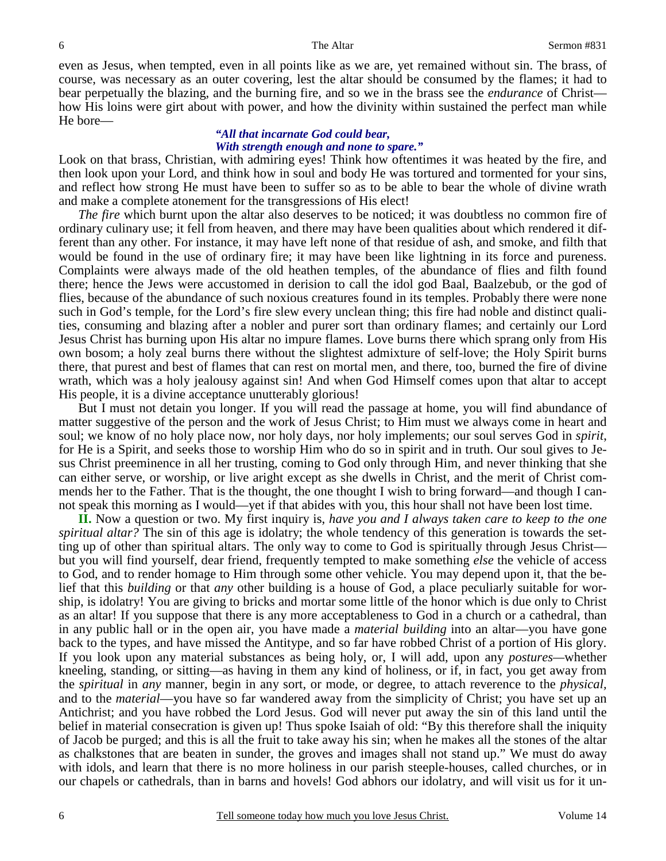even as Jesus, when tempted, even in all points like as we are, yet remained without sin. The brass, of course, was necessary as an outer covering, lest the altar should be consumed by the flames; it had to bear perpetually the blazing, and the burning fire, and so we in the brass see the *endurance* of Christ how His loins were girt about with power, and how the divinity within sustained the perfect man while He bore—

#### *"All that incarnate God could bear, With strength enough and none to spare."*

Look on that brass, Christian, with admiring eyes! Think how oftentimes it was heated by the fire, and then look upon your Lord, and think how in soul and body He was tortured and tormented for your sins, and reflect how strong He must have been to suffer so as to be able to bear the whole of divine wrath and make a complete atonement for the transgressions of His elect!

*The fire* which burnt upon the altar also deserves to be noticed; it was doubtless no common fire of ordinary culinary use; it fell from heaven, and there may have been qualities about which rendered it different than any other. For instance, it may have left none of that residue of ash, and smoke, and filth that would be found in the use of ordinary fire; it may have been like lightning in its force and pureness. Complaints were always made of the old heathen temples, of the abundance of flies and filth found there; hence the Jews were accustomed in derision to call the idol god Baal, Baalzebub, or the god of flies, because of the abundance of such noxious creatures found in its temples. Probably there were none such in God's temple, for the Lord's fire slew every unclean thing; this fire had noble and distinct qualities, consuming and blazing after a nobler and purer sort than ordinary flames; and certainly our Lord Jesus Christ has burning upon His altar no impure flames. Love burns there which sprang only from His own bosom; a holy zeal burns there without the slightest admixture of self-love; the Holy Spirit burns there, that purest and best of flames that can rest on mortal men, and there, too, burned the fire of divine wrath, which was a holy jealousy against sin! And when God Himself comes upon that altar to accept His people, it is a divine acceptance unutterably glorious!

 But I must not detain you longer. If you will read the passage at home, you will find abundance of matter suggestive of the person and the work of Jesus Christ; to Him must we always come in heart and soul; we know of no holy place now, nor holy days, nor holy implements; our soul serves God in *spirit*, for He is a Spirit, and seeks those to worship Him who do so in spirit and in truth. Our soul gives to Jesus Christ preeminence in all her trusting, coming to God only through Him, and never thinking that she can either serve, or worship, or live aright except as she dwells in Christ, and the merit of Christ commends her to the Father. That is the thought, the one thought I wish to bring forward—and though I cannot speak this morning as I would—yet if that abides with you, this hour shall not have been lost time.

**II.** Now a question or two. My first inquiry is, *have you and I always taken care to keep to the one spiritual altar?* The sin of this age is idolatry; the whole tendency of this generation is towards the setting up of other than spiritual altars. The only way to come to God is spiritually through Jesus Christ but you will find yourself, dear friend, frequently tempted to make something *else* the vehicle of access to God, and to render homage to Him through some other vehicle. You may depend upon it, that the belief that this *building* or that *any* other building is a house of God, a place peculiarly suitable for worship, is idolatry! You are giving to bricks and mortar some little of the honor which is due only to Christ as an altar! If you suppose that there is any more acceptableness to God in a church or a cathedral, than in any public hall or in the open air, you have made a *material building* into an altar—you have gone back to the types, and have missed the Antitype, and so far have robbed Christ of a portion of His glory. If you look upon any material substances as being holy, or, I will add, upon any *postures—*whether kneeling, standing, or sitting—as having in them any kind of holiness, or if, in fact, you get away from the *spiritual* in *any* manner, begin in any sort, or mode, or degree, to attach reverence to the *physical,* and to the *material*—you have so far wandered away from the simplicity of Christ; you have set up an Antichrist; and you have robbed the Lord Jesus. God will never put away the sin of this land until the belief in material consecration is given up! Thus spoke Isaiah of old: "By this therefore shall the iniquity of Jacob be purged; and this is all the fruit to take away his sin; when he makes all the stones of the altar as chalkstones that are beaten in sunder, the groves and images shall not stand up." We must do away with idols, and learn that there is no more holiness in our parish steeple-houses, called churches, or in our chapels or cathedrals, than in barns and hovels! God abhors our idolatry, and will visit us for it un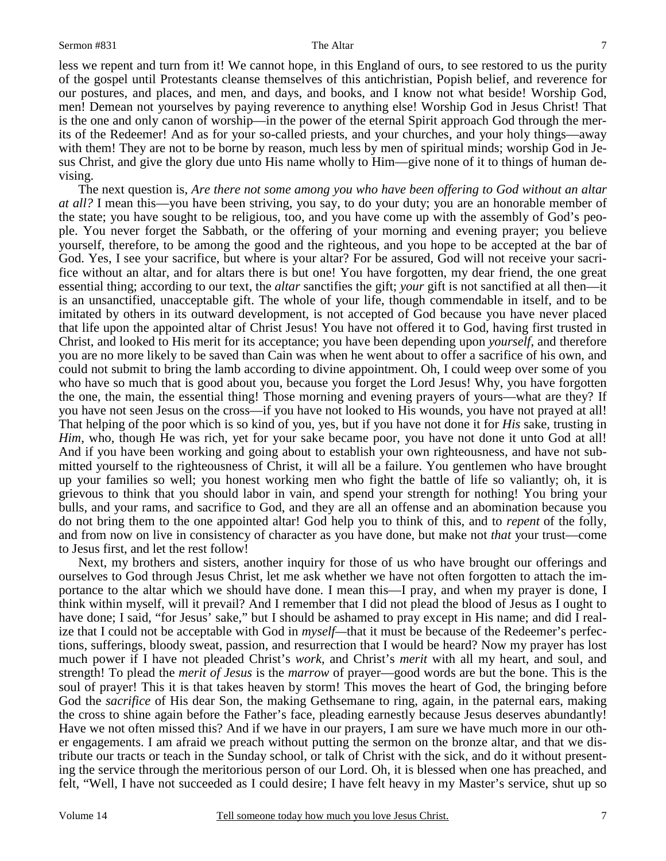less we repent and turn from it! We cannot hope, in this England of ours, to see restored to us the purity of the gospel until Protestants cleanse themselves of this antichristian, Popish belief, and reverence for our postures, and places, and men, and days, and books, and I know not what beside! Worship God, men! Demean not yourselves by paying reverence to anything else! Worship God in Jesus Christ! That is the one and only canon of worship—in the power of the eternal Spirit approach God through the merits of the Redeemer! And as for your so-called priests, and your churches, and your holy things—away with them! They are not to be borne by reason, much less by men of spiritual minds; worship God in Jesus Christ, and give the glory due unto His name wholly to Him—give none of it to things of human devising.

 The next question is, *Are there not some among you who have been offering to God without an altar at all?* I mean this—you have been striving, you say, to do your duty; you are an honorable member of the state; you have sought to be religious, too, and you have come up with the assembly of God's people. You never forget the Sabbath, or the offering of your morning and evening prayer; you believe yourself, therefore, to be among the good and the righteous, and you hope to be accepted at the bar of God. Yes, I see your sacrifice, but where is your altar? For be assured, God will not receive your sacrifice without an altar, and for altars there is but one! You have forgotten, my dear friend, the one great essential thing; according to our text, the *altar* sanctifies the gift; *your* gift is not sanctified at all then—it is an unsanctified, unacceptable gift. The whole of your life, though commendable in itself, and to be imitated by others in its outward development, is not accepted of God because you have never placed that life upon the appointed altar of Christ Jesus! You have not offered it to God, having first trusted in Christ, and looked to His merit for its acceptance; you have been depending upon *yourself*, and therefore you are no more likely to be saved than Cain was when he went about to offer a sacrifice of his own, and could not submit to bring the lamb according to divine appointment. Oh, I could weep over some of you who have so much that is good about you, because you forget the Lord Jesus! Why, you have forgotten the one, the main, the essential thing! Those morning and evening prayers of yours—what are they? If you have not seen Jesus on the cross—if you have not looked to His wounds, you have not prayed at all! That helping of the poor which is so kind of you, yes, but if you have not done it for *His* sake, trusting in *Him*, who, though He was rich, yet for your sake became poor, you have not done it unto God at all! And if you have been working and going about to establish your own righteousness, and have not submitted yourself to the righteousness of Christ, it will all be a failure. You gentlemen who have brought up your families so well; you honest working men who fight the battle of life so valiantly; oh, it is grievous to think that you should labor in vain, and spend your strength for nothing! You bring your bulls, and your rams, and sacrifice to God, and they are all an offense and an abomination because you do not bring them to the one appointed altar! God help you to think of this, and to *repent* of the folly, and from now on live in consistency of character as you have done, but make not *that* your trust—come to Jesus first, and let the rest follow!

 Next, my brothers and sisters, another inquiry for those of us who have brought our offerings and ourselves to God through Jesus Christ, let me ask whether we have not often forgotten to attach the importance to the altar which we should have done. I mean this—I pray, and when my prayer is done, I think within myself, will it prevail? And I remember that I did not plead the blood of Jesus as I ought to have done; I said, "for Jesus' sake," but I should be ashamed to pray except in His name; and did I realize that I could not be acceptable with God in *myself—*that it must be because of the Redeemer's perfections, sufferings, bloody sweat, passion, and resurrection that I would be heard? Now my prayer has lost much power if I have not pleaded Christ's *work*, and Christ's *merit* with all my heart, and soul, and strength! To plead the *merit of Jesus* is the *marrow* of prayer—good words are but the bone. This is the soul of prayer! This it is that takes heaven by storm! This moves the heart of God, the bringing before God the *sacrifice* of His dear Son, the making Gethsemane to ring, again, in the paternal ears, making the cross to shine again before the Father's face, pleading earnestly because Jesus deserves abundantly! Have we not often missed this? And if we have in our prayers, I am sure we have much more in our other engagements. I am afraid we preach without putting the sermon on the bronze altar, and that we distribute our tracts or teach in the Sunday school, or talk of Christ with the sick, and do it without presenting the service through the meritorious person of our Lord. Oh, it is blessed when one has preached, and felt, "Well, I have not succeeded as I could desire; I have felt heavy in my Master's service, shut up so